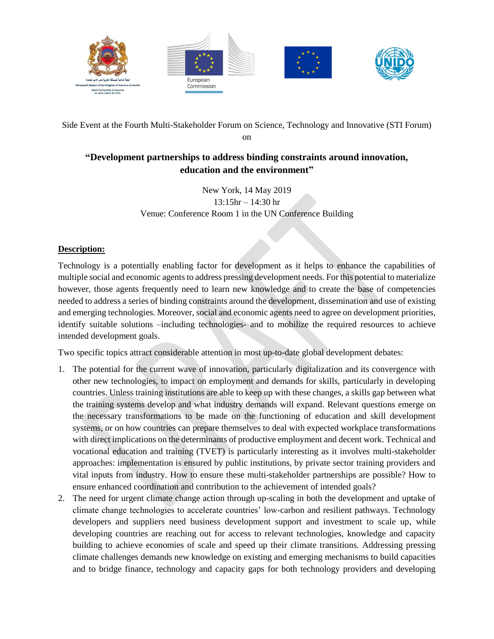

Side Event at the Fourth Multi-Stakeholder Forum on Science, Technology and Innovative (STI Forum)

on

## **"Development partnerships to address binding constraints around innovation, education and the environment"**

New York, 14 May 2019 13:15hr – 14:30 hr Venue: Conference Room 1 in the UN Conference Building

### **Description:**

Technology is a potentially enabling factor for development as it helps to enhance the capabilities of multiple social and economic agents to address pressing development needs. For this potential to materialize however, those agents frequently need to learn new knowledge and to create the base of competencies needed to address a series of binding constraints around the development, dissemination and use of existing and emerging technologies. Moreover, social and economic agents need to agree on development priorities, identify suitable solutions –including technologies- and to mobilize the required resources to achieve intended development goals.

Two specific topics attract considerable attention in most up-to-date global development debates:

- 1. The potential for the current wave of innovation, particularly digitalization and its convergence with other new technologies, to impact on employment and demands for skills, particularly in developing countries. Unless training institutions are able to keep up with these changes, a skills gap between what the training systems develop and what industry demands will expand. Relevant questions emerge on the necessary transformations to be made on the functioning of education and skill development systems, or on how countries can prepare themselves to deal with expected workplace transformations with direct implications on the determinants of productive employment and decent work. Technical and vocational education and training (TVET) is particularly interesting as it involves multi-stakeholder approaches: implementation is ensured by public institutions, by private sector training providers and vital inputs from industry. How to ensure these multi-stakeholder partnerships are possible? How to ensure enhanced coordination and contribution to the achievement of intended goals?
- 2. The need for urgent climate change action through up-scaling in both the development and uptake of climate change technologies to accelerate countries' low-carbon and resilient pathways. Technology developers and suppliers need business development support and investment to scale up, while developing countries are reaching out for access to relevant technologies, knowledge and capacity building to achieve economies of scale and speed up their climate transitions. Addressing pressing climate challenges demands new knowledge on existing and emerging mechanisms to build capacities and to bridge finance, technology and capacity gaps for both technology providers and developing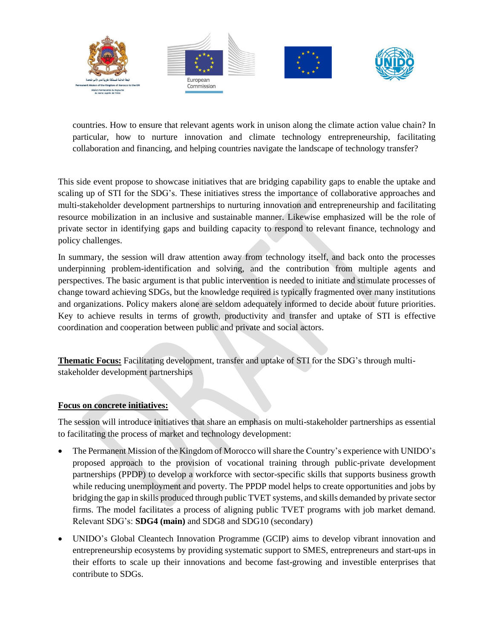

countries. How to ensure that relevant agents work in unison along the climate action value chain? In particular, how to nurture innovation and climate technology entrepreneurship, facilitating collaboration and financing, and helping countries navigate the landscape of technology transfer?

This side event propose to showcase initiatives that are bridging capability gaps to enable the uptake and scaling up of STI for the SDG's. These initiatives stress the importance of collaborative approaches and multi-stakeholder development partnerships to nurturing innovation and entrepreneurship and facilitating resource mobilization in an inclusive and sustainable manner. Likewise emphasized will be the role of private sector in identifying gaps and building capacity to respond to relevant finance, technology and policy challenges.

In summary, the session will draw attention away from technology itself, and back onto the processes underpinning problem-identification and solving, and the contribution from multiple agents and perspectives. The basic argument is that public intervention is needed to initiate and stimulate processes of change toward achieving SDGs, but the knowledge required is typically fragmented over many institutions and organizations. Policy makers alone are seldom adequately informed to decide about future priorities. Key to achieve results in terms of growth, productivity and transfer and uptake of STI is effective coordination and cooperation between public and private and social actors.

**Thematic Focus:** Facilitating development, transfer and uptake of STI for the SDG's through multistakeholder development partnerships

#### **Focus on concrete initiatives:**

The session will introduce initiatives that share an emphasis on multi-stakeholder partnerships as essential to facilitating the process of market and technology development:

- The Permanent Mission of the Kingdom of Morocco will share the Country's experience with UNIDO's proposed approach to the provision of vocational training through public-private development partnerships (PPDP) to develop a workforce with sector-specific skills that supports business growth while reducing unemployment and poverty. The PPDP model helps to create opportunities and jobs by bridging the gap in skills produced through public TVET systems, and skills demanded by private sector firms. The model facilitates a process of aligning public TVET programs with job market demand. Relevant SDG's: **SDG4 (main)** and SDG8 and SDG10 (secondary)
- UNIDO's Global Cleantech Innovation Programme (GCIP) aims to develop vibrant innovation and entrepreneurship ecosystems by providing systematic support to SMES, entrepreneurs and start-ups in their efforts to scale up their innovations and become fast-growing and investible enterprises that contribute to SDGs.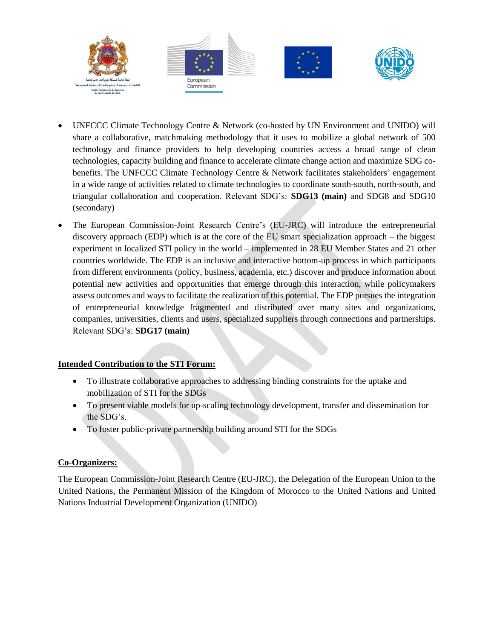

- UNFCCC Climate Technology Centre & Network (co-hosted by UN Environment and UNIDO) will share a collaborative, matchmaking methodology that it uses to mobilize a global network of 500 technology and finance providers to help developing countries access a broad range of clean technologies, capacity building and finance to accelerate climate change action and maximize SDG cobenefits. The UNFCCC Climate Technology Centre & Network facilitates stakeholders' engagement in a wide range of activities related to climate technologies to coordinate south-south, north-south, and triangular collaboration and cooperation. Relevant SDG's: **SDG13 (main)** and SDG8 and SDG10 (secondary)
- The European Commission-Joint Research Centre's (EU-JRC) will introduce the entrepreneurial discovery approach (EDP) which is at the core of the EU smart specialization approach – the biggest experiment in localized STI policy in the world – implemented in 28 EU Member States and 21 other countries worldwide. The EDP is an inclusive and interactive bottom-up process in which participants from different environments (policy, business, academia, etc.) discover and produce information about potential new activities and opportunities that emerge through this interaction, while policymakers assess outcomes and ways to facilitate the realization of this potential. The EDP pursues the integration of entrepreneurial knowledge fragmented and distributed over many sites and organizations, companies, universities, clients and users, specialized suppliers through connections and partnerships. Relevant SDG's: **SDG17 (main)**

### **Intended Contribution to the STI Forum:**

- To illustrate collaborative approaches to addressing binding constraints for the uptake and mobilization of STI for the SDGs
- To present viable models for up-scaling technology development, transfer and dissemination for the SDG's.
- To foster public-private partnership building around STI for the SDGs

### **Co-Organizers:**

The European Commission-Joint Research Centre (EU-JRC), the Delegation of the European Union to the United Nations, the Permanent Mission of the Kingdom of Morocco to the United Nations and United Nations Industrial Development Organization (UNIDO)